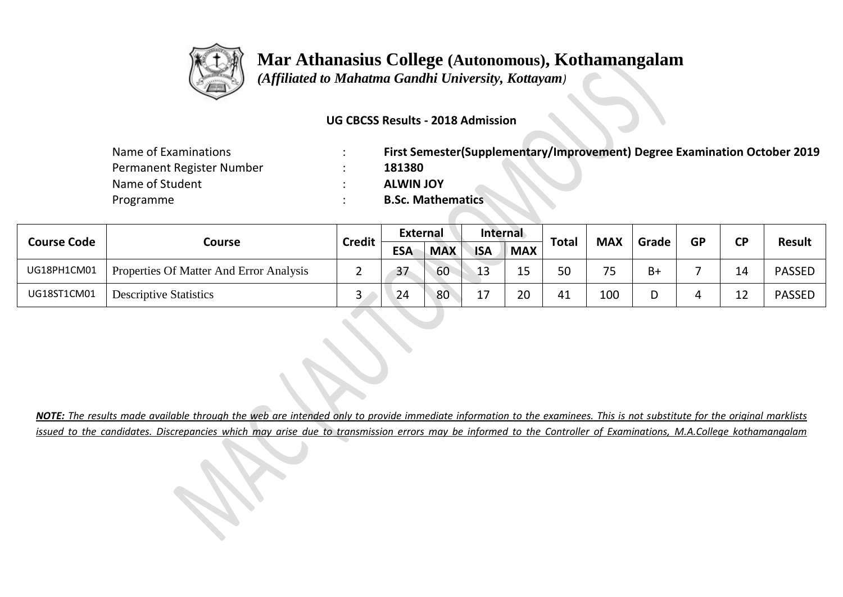

 *(Affiliated to Mahatma Gandhi University, Kottayam)*

#### **UG CBCSS Results - 2018 Admission**

| Name of Examinations      | First Semester(Supplementary/Improvement) Degree Examination October 2019 |
|---------------------------|---------------------------------------------------------------------------|
| Permanent Register Number | 181380                                                                    |
| Name of Student           | <b>ALWIN JOY</b>                                                          |
| Programme                 | <b>B.Sc. Mathematics</b>                                                  |

| <b>Course Code</b> |                                         | <b>Credit</b> | <b>External</b> |            | Internal   |            |              | <b>MAX</b> | Grade | <b>GP</b> | <b>CD</b> | <b>Result</b> |
|--------------------|-----------------------------------------|---------------|-----------------|------------|------------|------------|--------------|------------|-------|-----------|-----------|---------------|
|                    | Course                                  |               | <b>ESA</b>      | <b>MAX</b> | <b>ISA</b> | <b>MAX</b> | <b>Total</b> |            |       |           |           |               |
| UG18PH1CM01        | Properties Of Matter And Error Analysis | _             | 37              | 60         | 13         | 1 E<br>--  | 50           | フロ         | B+    |           | ⊥4        | <b>PASSED</b> |
| UG18ST1CM01        | <b>Descriptive Statistics</b>           | ٮ             | 24              | 80         | ╶          | 20         | 41           | 100        |       |           |           | <b>PASSED</b> |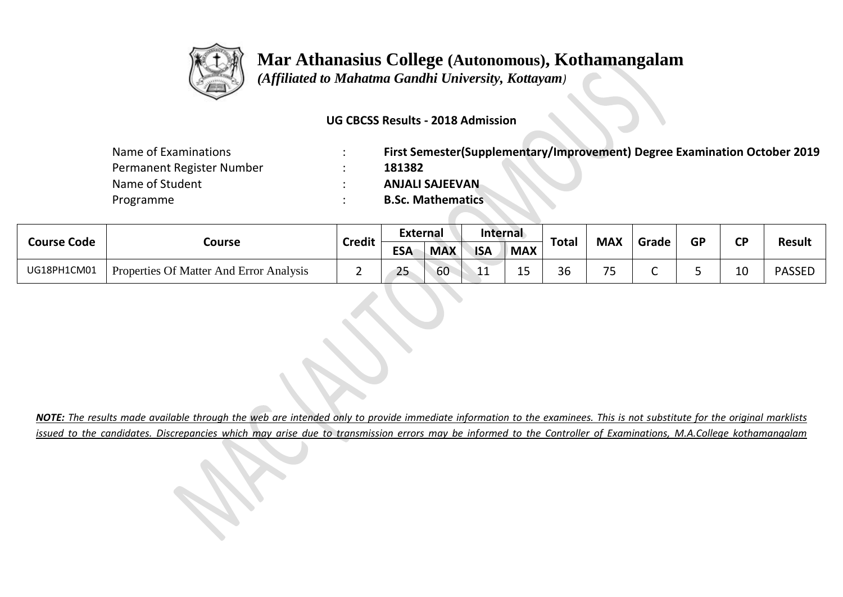

 *(Affiliated to Mahatma Gandhi University, Kottayam)*

#### **UG CBCSS Results - 2018 Admission**

| Name of Examinations      | First Semester(Supplementary/Improvement) Degree Examination October 2019 |
|---------------------------|---------------------------------------------------------------------------|
| Permanent Register Number | 181382                                                                    |
| Name of Student           | <b>ANJALI SAJEEVAN</b>                                                    |
| Programme                 | <b>B.Sc. Mathematics</b>                                                  |

| <b>Course Code</b> |                                         | <b>Credit</b> | <b>External</b>     |            | Internal     |            |       | <b>MAX</b>                    | Grade | <b>GP</b> | σD | <b>Result</b> |
|--------------------|-----------------------------------------|---------------|---------------------|------------|--------------|------------|-------|-------------------------------|-------|-----------|----|---------------|
|                    | Course                                  |               | <b>ESA</b>          | <b>MAX</b> | <b>ISA</b>   | <b>MAX</b> | Total |                               |       |           |    |               |
| UG18PH1CM01        | Properties Of Matter And Error Analysis |               | $\sim$ $\sim$<br>25 | 60         | <u>ــ ــ</u> | -<br>ᅩ     | 36    | $\overline{\phantom{a}}$<br>ັ |       |           | 10 | <b>PASSED</b> |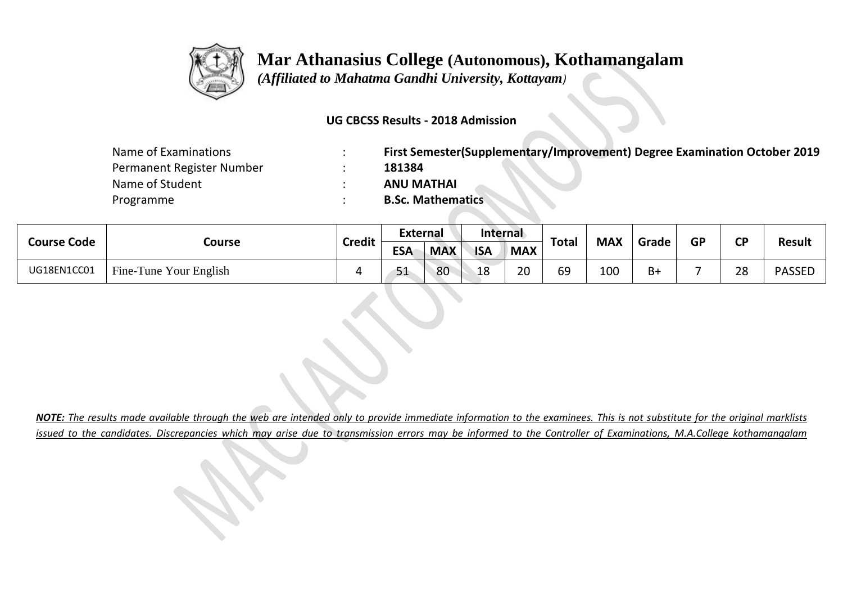

 *(Affiliated to Mahatma Gandhi University, Kottayam)*

#### **UG CBCSS Results - 2018 Admission**

| Name of Examinations      | First Semester(Supplementary/Improvement) Degree Examination October 2019 |
|---------------------------|---------------------------------------------------------------------------|
| Permanent Register Number | 181384                                                                    |
| Name of Student           | <b>ANU MATHAI</b>                                                         |
| Programme                 | <b>B.Sc. Mathematics</b>                                                  |

| <b>Course Code</b> | Course                 | <b>Credit</b> | <b>External</b> |            | Internal   |            |              | <b>MAX</b> |       | <b>GP</b> | rЬ | <b>Result</b> |
|--------------------|------------------------|---------------|-----------------|------------|------------|------------|--------------|------------|-------|-----------|----|---------------|
|                    |                        |               | <b>ESA</b>      | <b>MAX</b> | <b>ISA</b> | <b>MAX</b> | <b>Total</b> |            | Grade |           |    |               |
| UG18EN1CC01        | Fine-Tune Your English |               | 51              | 80         | 18         | 20         | 69           | 100        | $B+$  |           | 28 | <b>PASSED</b> |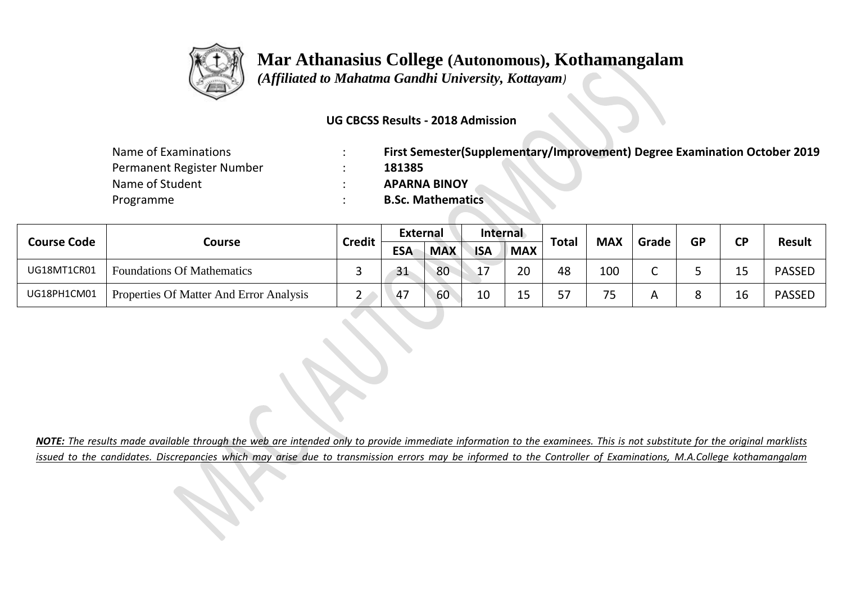

 *(Affiliated to Mahatma Gandhi University, Kottayam)*

#### **UG CBCSS Results - 2018 Admission**

| Name of Examinations      | First Semester(Supplementary/Improvement) Degree Examination October 2019 |
|---------------------------|---------------------------------------------------------------------------|
| Permanent Register Number | 181385                                                                    |
| Name of Student           | <b>APARNA BINOY</b>                                                       |
| Programme                 | <b>B.Sc. Mathematics</b>                                                  |

| <b>Course Code</b> |                                         | <b>Credit</b> | <b>External</b> |            | Internal   |            | <b>Total</b> | <b>MAX</b> | Grade | <b>GP</b> | ΓD | <b>Result</b> |
|--------------------|-----------------------------------------|---------------|-----------------|------------|------------|------------|--------------|------------|-------|-----------|----|---------------|
|                    | Course                                  |               | <b>ESA</b>      | <b>MAX</b> | <b>ISA</b> | <b>MAX</b> |              |            |       |           |    |               |
| UG18MT1CR01        | <b>Foundations Of Mathematics</b>       | ــ            | 31              | 80         | . –        | 20         | 48           | 100        |       |           |    | <b>PASSED</b> |
| UG18PH1CM01        | Properties Of Matter And Error Analysis | <u>_</u>      | $-47$           | 60         | 10         | 1 E<br>ᅩ   | 57           | フロ<br>ر .  |       |           | TС | <b>PASSED</b> |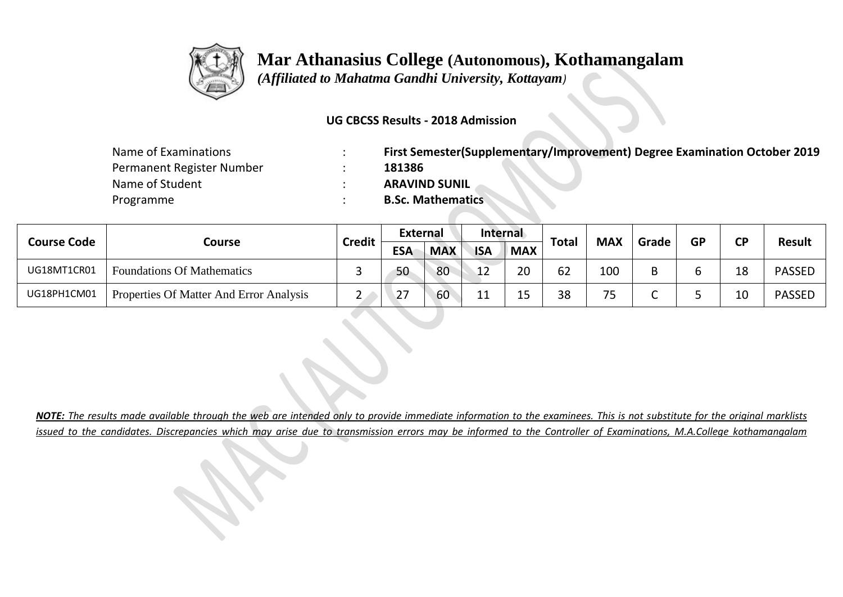

 *(Affiliated to Mahatma Gandhi University, Kottayam)*

#### **UG CBCSS Results - 2018 Admission**

| Name of Examinations      | First Semester(Supplementary/Improvement) Degree Examination October 2019 |
|---------------------------|---------------------------------------------------------------------------|
| Permanent Register Number | 181386                                                                    |
| Name of Student           | <b>ARAVIND SUNIL</b>                                                      |
| Programme                 | <b>B.Sc. Mathematics</b>                                                  |

| <b>Course Code</b> |                                         | <b>Credit</b> | <b>External</b> |            | Internal   |            | <b>Total</b> | <b>MAX</b>            |       | <b>GP</b> | ΓD | <b>Result</b> |
|--------------------|-----------------------------------------|---------------|-----------------|------------|------------|------------|--------------|-----------------------|-------|-----------|----|---------------|
|                    | Course                                  |               | <b>ESA</b>      | <b>MAX</b> | <b>ISA</b> | <b>MAX</b> |              |                       | Grade |           |    |               |
| UG18MT1CR01        | <b>Foundations Of Mathematics</b>       | سه            | 50              | 80         | 12         | 20         | 62           | 100                   |       |           | 18 | <b>PASSED</b> |
| UG18PH1CM01        | Properties Of Matter And Error Analysis | <u>_</u>      | 27              | 60         | 11<br>ᆂᆂ   | 15<br>ᅩ    | 38           | 7 <sub>5</sub><br>. J |       |           | 10 | <b>PASSED</b> |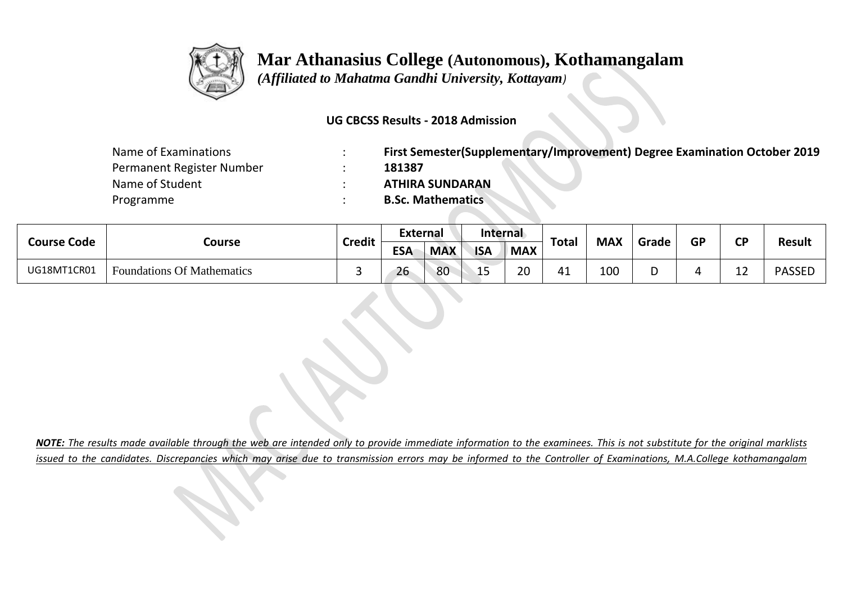

 *(Affiliated to Mahatma Gandhi University, Kottayam)*

#### **UG CBCSS Results - 2018 Admission**

| Name of Examinations      | First Semester(Supplementary/Improvement) Degree Examination October 2019 |
|---------------------------|---------------------------------------------------------------------------|
| Permanent Register Number | 181387                                                                    |
| Name of Student           | <b>ATHIRA SUNDARAN</b>                                                    |
| Programme                 | <b>B.Sc. Mathematics</b>                                                  |

| <b>Course Code</b> | Course                            | <b>Credit</b> | External   |            | Internal   |            | <b>Total</b> | <b>MAX</b> |       | <b>GP</b> | σD          | <b>Result</b> |
|--------------------|-----------------------------------|---------------|------------|------------|------------|------------|--------------|------------|-------|-----------|-------------|---------------|
|                    |                                   |               | <b>ESA</b> | <b>MAX</b> | <b>ISA</b> | <b>MAX</b> |              |            | Grade |           |             |               |
| UG18MT1CR01        | <b>Foundations Of Mathematics</b> |               | 26         | 80         | ب بات      | ാറ<br>∼    | 41           | 100        |       |           | ໍ່<br>- - 1 | <b>PASSED</b> |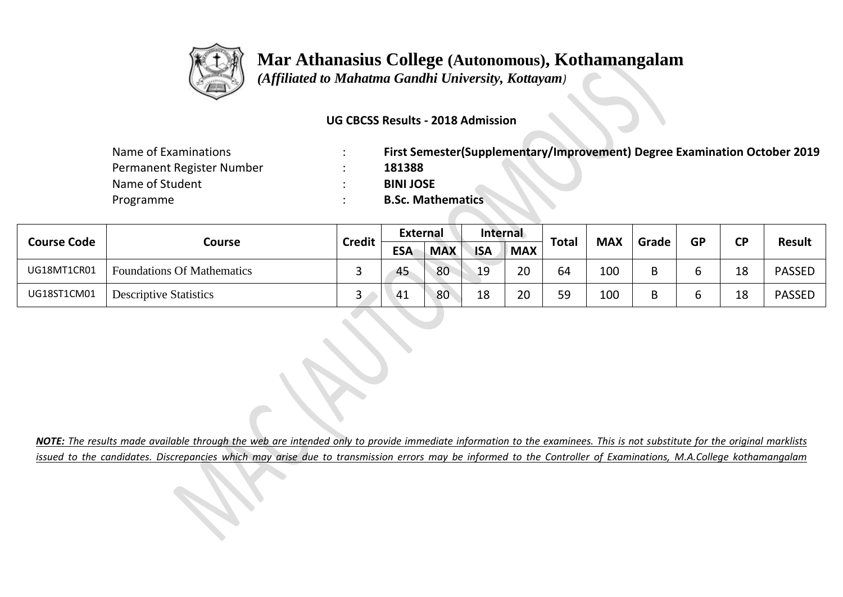

 *(Affiliated to Mahatma Gandhi University, Kottayam)*

#### **UG CBCSS Results - 2018 Admission**

| Name of Examinations      | First Semester(Supplementary/Improvement) Degree Examination October 2019 |
|---------------------------|---------------------------------------------------------------------------|
| Permanent Register Number | 181388                                                                    |
| Name of Student           | <b>BINI JOSE</b>                                                          |
| Programme                 | <b>B.Sc. Mathematics</b>                                                  |

| <b>Course Code</b> | Course                            | <b>Credit</b> | <b>External</b> |            | Internal   |            | <b>Total</b> | <b>MAX</b> | Grade | <b>GP</b> | ΓD | <b>Result</b> |
|--------------------|-----------------------------------|---------------|-----------------|------------|------------|------------|--------------|------------|-------|-----------|----|---------------|
|                    |                                   |               | <b>ESA</b>      | <b>MAX</b> | <b>ISA</b> | <b>MAX</b> |              |            |       |           |    |               |
| UG18MT1CR01        | <b>Foundations Of Mathematics</b> | ــ            | 45              | 80         | 19         | 20         | 64           | 100        |       |           | 18 | <b>PASSED</b> |
| UG18ST1CM01        | <b>Descriptive Statistics</b>     | ັ             | 41              | 80         | 18         | 20         | 59           | 100        |       |           | 18 | <b>PASSED</b> |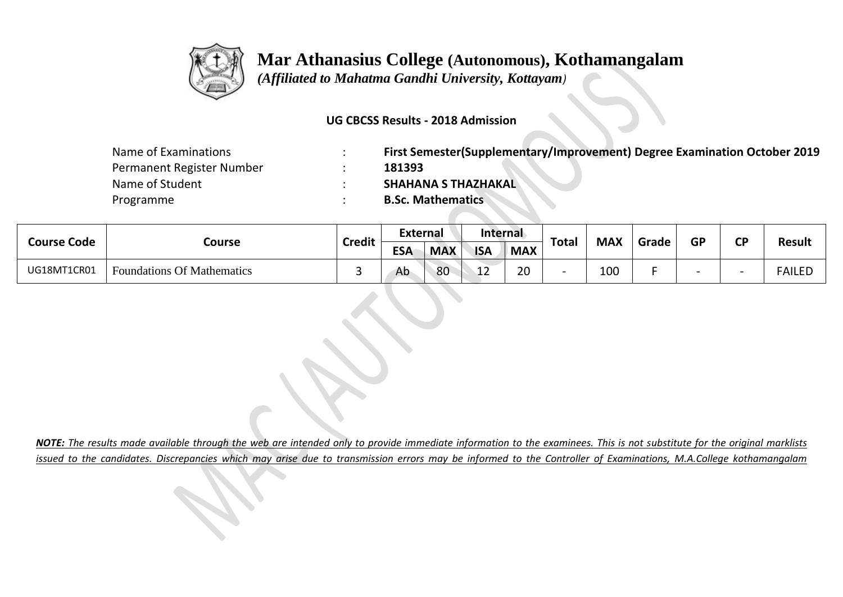

 *(Affiliated to Mahatma Gandhi University, Kottayam)*

#### **UG CBCSS Results - 2018 Admission**

| Name of Examinations      | First Semester(Supplementary/Improvement) Degree Examination October 2019 |
|---------------------------|---------------------------------------------------------------------------|
| Permanent Register Number | 181393                                                                    |
| Name of Student           | <b>SHAHANA S THAZHAKAL</b>                                                |
| Programme                 | <b>B.Sc. Mathematics</b>                                                  |

| <b>Course Code</b> | Course                            | <b>Credit</b> | External   |            | Internal   |            | <b>Total</b> | <b>MAX</b> |       | <b>GP</b> | σD |               |
|--------------------|-----------------------------------|---------------|------------|------------|------------|------------|--------------|------------|-------|-----------|----|---------------|
|                    |                                   |               | <b>ESA</b> | <b>MAX</b> | <b>ISA</b> | <b>MAX</b> |              |            | Grade |           |    | <b>Result</b> |
| UG18MT1CR01        | <b>Foundations Of Mathematics</b> |               | Ab         | 80         | - 11 A     | າ∩<br>∠∪   |              | 100        |       |           |    | FAILED        |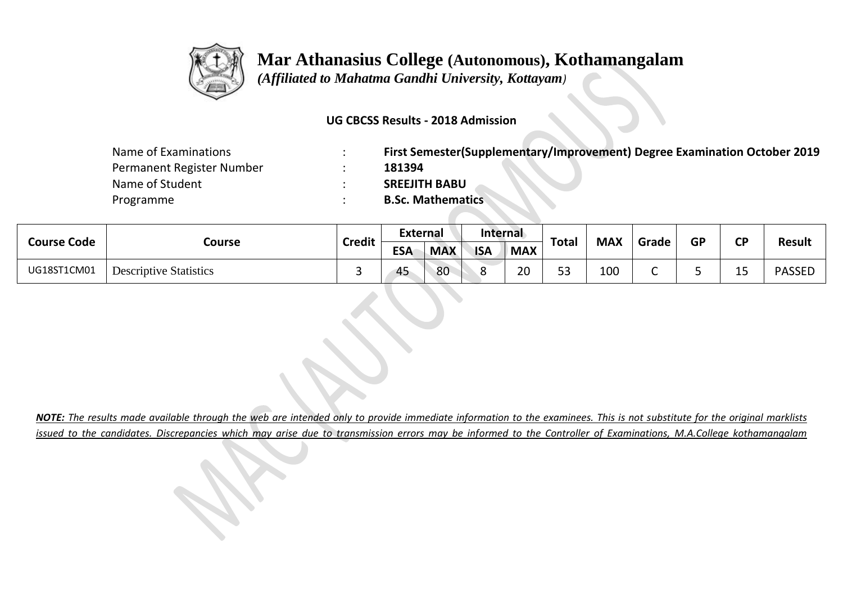

 *(Affiliated to Mahatma Gandhi University, Kottayam)*

#### **UG CBCSS Results - 2018 Admission**

| Name of Examinations      | First Semester(Supplementary/Improvement) Degree Examination October 2019 |
|---------------------------|---------------------------------------------------------------------------|
| Permanent Register Number | 181394                                                                    |
| Name of Student           | <b>SREEJITH BABU</b>                                                      |
| Programme                 | <b>B.Sc. Mathematics</b>                                                  |

|                    | Course                        | <b>Credit</b> | External   |            | Internal   |            | <b>Total</b>          | <b>MAX</b> | Grade | <b>GP</b> | σD        |               |
|--------------------|-------------------------------|---------------|------------|------------|------------|------------|-----------------------|------------|-------|-----------|-----------|---------------|
| <b>Course Code</b> |                               |               | <b>ESA</b> | <b>MAX</b> | <b>ISA</b> | <b>MAX</b> |                       |            |       |           |           | <b>Result</b> |
| UG18ST1CM01        | <b>Descriptive Statistics</b> |               | 45         | 80         |            | ാറ<br>∠∪   | E <sub>2</sub><br>ں ر | 100        |       |           | . .<br>-- | <b>PASSED</b> |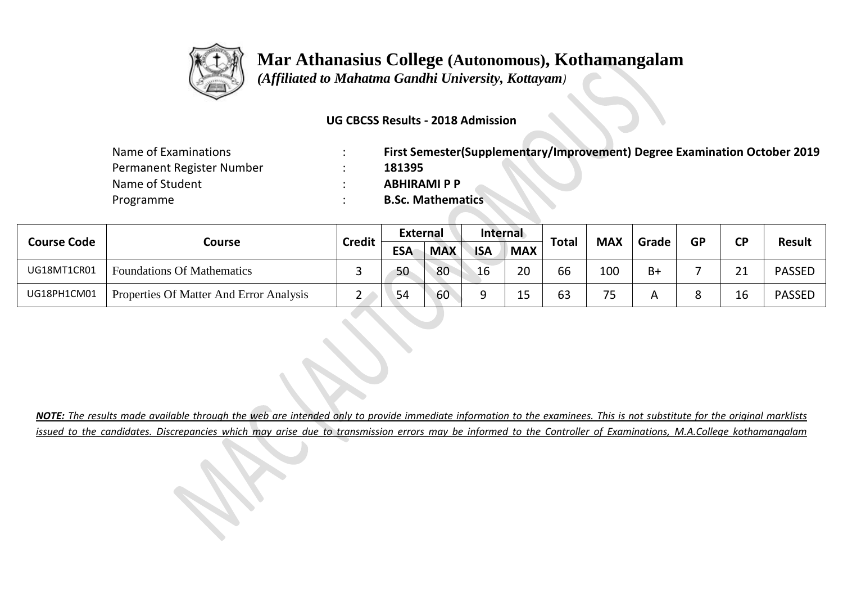

 *(Affiliated to Mahatma Gandhi University, Kottayam)*

#### **UG CBCSS Results - 2018 Admission**

| Name of Examinations      | First Semester(Supplementary/Improvement) Degree Examination October 2019 |
|---------------------------|---------------------------------------------------------------------------|
| Permanent Register Number | 181395                                                                    |
| Name of Student           | <b>ABHIRAMI P P</b>                                                       |
| Programme                 | <b>B.Sc. Mathematics</b>                                                  |

| <b>Course Code</b> |                                         | <b>Credit</b> | <b>External</b> |            | <b>Internal</b> |            | <b>Total</b> | <b>MAX</b> |       | <b>GP</b> | ΓD  | <b>Result</b> |
|--------------------|-----------------------------------------|---------------|-----------------|------------|-----------------|------------|--------------|------------|-------|-----------|-----|---------------|
|                    | Course                                  |               | <b>ESA</b>      | <b>MAX</b> | <b>ISA</b>      | <b>MAX</b> |              |            | Grade |           |     |               |
| UG18MT1CR01        | <b>Foundations Of Mathematics</b>       |               | 50              | 80         | 16              | 20         | 66           | 100        | $B+$  |           | า 1 | <b>PASSED</b> |
| UG18PH1CM01        | Properties Of Matter And Error Analysis |               | 54              | 60         |                 | 1 E<br>--  | 63           | フロ<br>ر .  |       |           |     | <b>PASSED</b> |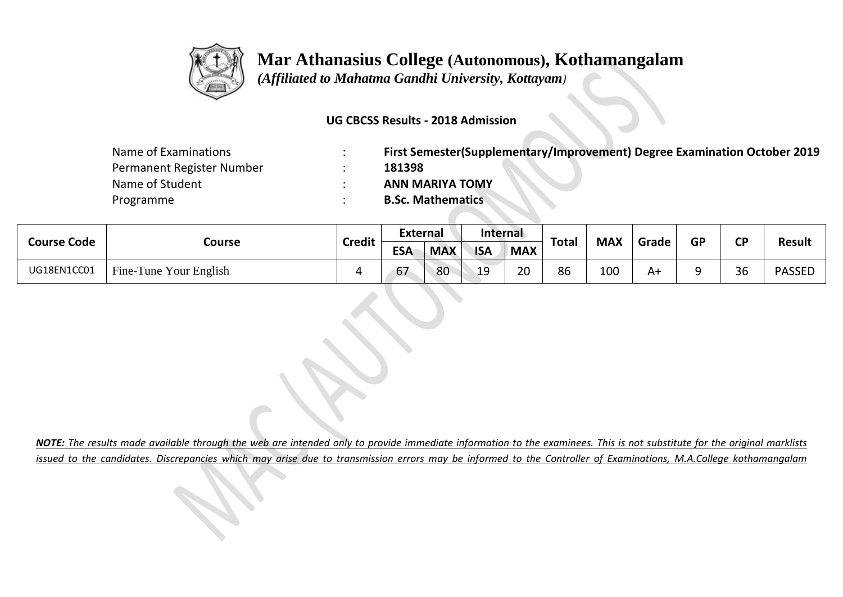

 *(Affiliated to Mahatma Gandhi University, Kottayam)*

#### **UG CBCSS Results - 2018 Admission**

| Name of Examinations      | First Semester(Supplementary/Improvement) Degree Examination October 2019 |
|---------------------------|---------------------------------------------------------------------------|
| Permanent Register Number | 181398                                                                    |
| Name of Student           | <b>ANN MARIYA TOMY</b>                                                    |
| Programme                 | <b>B.Sc. Mathematics</b>                                                  |

|                    |                        | <b>Credit</b> | <b>External</b> |            | Internal   |            |       | <b>MAX</b> | Grade | <b>GP</b> | ΓD | <b>Result</b> |
|--------------------|------------------------|---------------|-----------------|------------|------------|------------|-------|------------|-------|-----------|----|---------------|
| <b>Course Code</b> | Course                 |               | <b>ESA</b>      | <b>MAX</b> | <b>ISA</b> | <b>MAX</b> | Total |            |       |           |    |               |
| UG18EN1CC01        | Fine-Tune Your English |               | 67              | 80         | 19         | 20         | 86    | 100        | A+    |           | 36 | <b>PASSED</b> |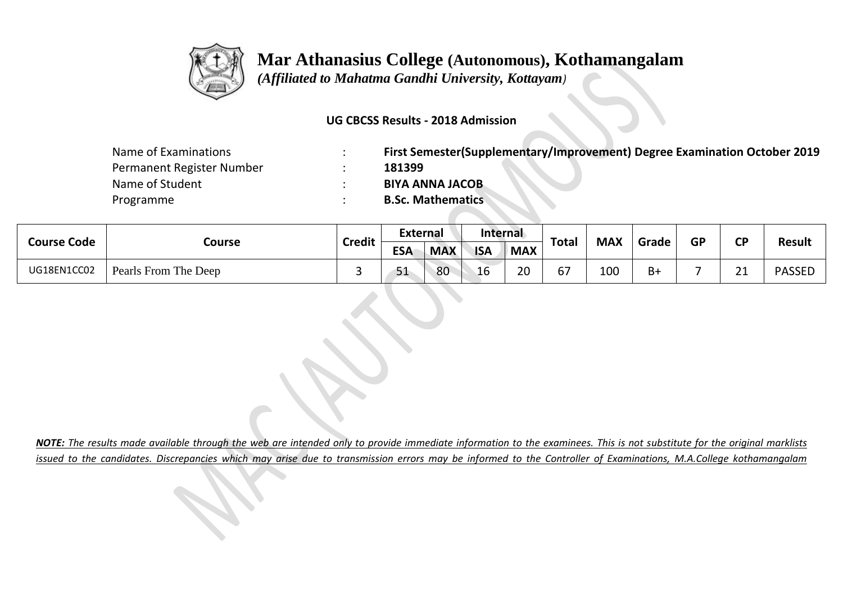

 *(Affiliated to Mahatma Gandhi University, Kottayam)*

#### **UG CBCSS Results - 2018 Admission**

| Name of Examinations      | First Semester(Supplementary/Improvement) Degree Examination October 2019 |
|---------------------------|---------------------------------------------------------------------------|
| Permanent Register Number | 181399                                                                    |
| Name of Student           | <b>BIYA ANNA JACOB</b>                                                    |
| Programme                 | <b>B.Sc. Mathematics</b>                                                  |

| <b>Course Code</b> |                      | <b>Credit</b> | <b>External</b> |            | Internal   |            | <b>Total</b> | <b>MAX</b> | Grade | <b>CD</b> | <b>Result</b> |
|--------------------|----------------------|---------------|-----------------|------------|------------|------------|--------------|------------|-------|-----------|---------------|
|                    | Course               |               | <b>ESA</b>      | <b>MAX</b> | <b>ISA</b> | <b>MAX</b> |              |            |       | <b>GP</b> |               |
| UG18EN1CC02        | Pearls From The Deep |               | 51              | 80         | 16         | 20         | 67           | 100        | B+    | ີ         | <b>PASSED</b> |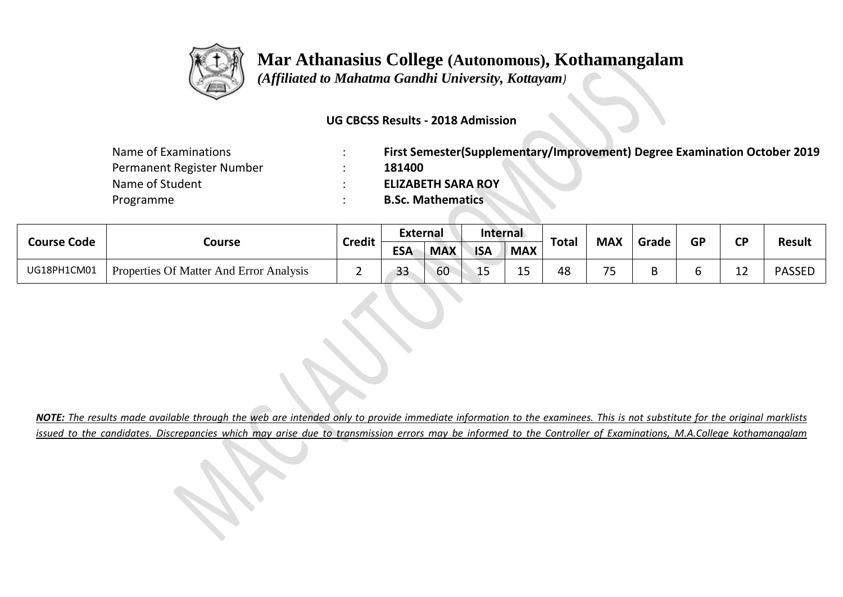

 *(Affiliated to Mahatma Gandhi University, Kottayam)*

#### **UG CBCSS Results - 2018 Admission**

| Name of Examinations      | First Semester(Supplementary/Improvement) Degree Examination October 2019 |
|---------------------------|---------------------------------------------------------------------------|
| Permanent Register Number | 181400                                                                    |
| Name of Student           | <b>ELIZABETH SARA ROY</b>                                                 |
| Programme                 | <b>B.Sc. Mathematics</b>                                                  |

| <b>Course Code</b> |                                         | <b>Credit</b> | <b>External</b> |            | Internal    |            | Total | <b>MAX</b>                    | Grade | <b>GP</b> | <b>CD</b>          | <b>Result</b> |
|--------------------|-----------------------------------------|---------------|-----------------|------------|-------------|------------|-------|-------------------------------|-------|-----------|--------------------|---------------|
|                    | Course                                  |               | <b>ESA</b>      | <b>MAX</b> | <b>ISA</b>  | <b>MAX</b> |       |                               |       |           |                    |               |
| UG18PH1CM01        | Properties Of Matter And Error Analysis |               | 33              | 60         | $\sim$<br>ᅩ | -<br>ᅩ     | 48    | $\overline{\phantom{a}}$<br>ັ |       |           | <u> ລ</u><br>-- -- | <b>PASSED</b> |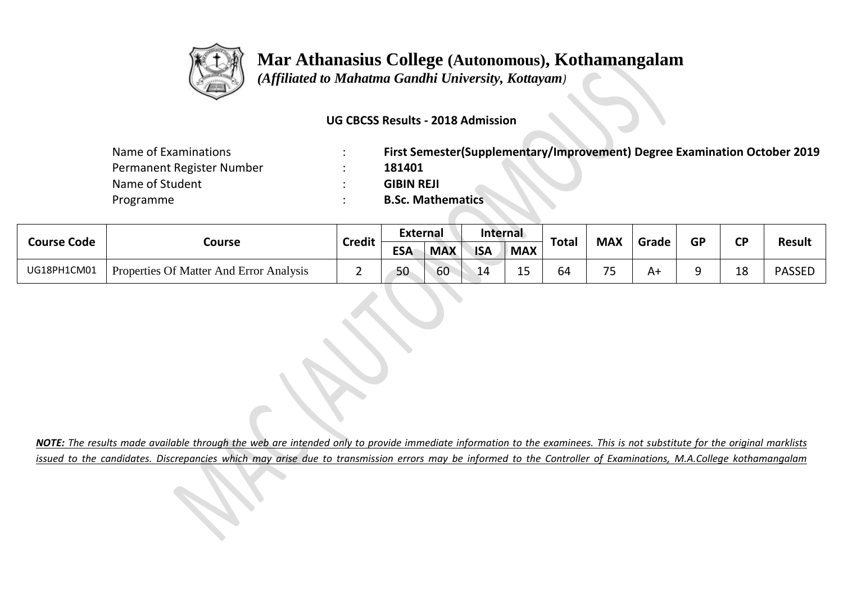

 *(Affiliated to Mahatma Gandhi University, Kottayam)*

#### **UG CBCSS Results - 2018 Admission**

| Name of Examinations      | First Semester(Supplementary/Improvement) Degree Examination October 2019 |
|---------------------------|---------------------------------------------------------------------------|
| Permanent Register Number | 181401                                                                    |
| Name of Student           | <b>GIBIN REJI</b>                                                         |
| Programme                 | <b>B.Sc. Mathematics</b>                                                  |

| <b>Course Code</b> |                                         | <b>Credit</b> | External   |            | Internal   |             |              | <b>MAX</b>               |       | <b>GP</b> | σD       |               |
|--------------------|-----------------------------------------|---------------|------------|------------|------------|-------------|--------------|--------------------------|-------|-----------|----------|---------------|
|                    | Course                                  |               | <b>ESA</b> | <b>MAX</b> | <b>ISA</b> | <b>MAX</b>  | <b>Total</b> |                          | Grade |           |          | <b>Result</b> |
| UG18PH1CM01        | Properties Of Matter And Error Analysis | -             | 50         | 60         | 14         | $\sim$<br>ᅩ | 64           | $\overline{\phantom{a}}$ | A٠    |           | 1 ດ<br>∸ | <b>PASSED</b> |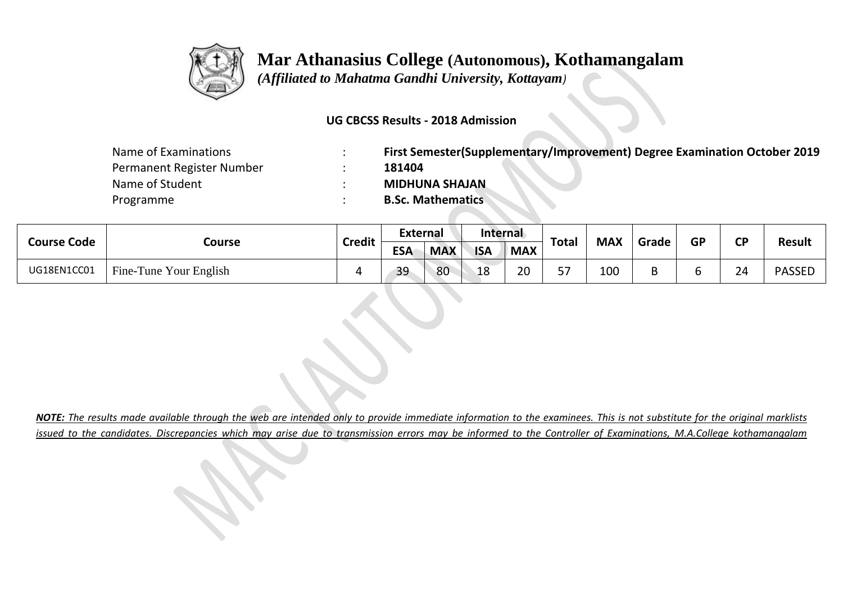

 *(Affiliated to Mahatma Gandhi University, Kottayam)*

#### **UG CBCSS Results - 2018 Admission**

| Name of Examinations      | First Semester(Supplementary/Improvement) Degree Examination October 2019 |
|---------------------------|---------------------------------------------------------------------------|
| Permanent Register Number | 181404                                                                    |
| Name of Student           | <b>MIDHUNA SHAJAN</b>                                                     |
| Programme                 | <b>B.Sc. Mathematics</b>                                                  |

| <b>Course Code</b> | Course                 | <b>Credit</b> | External   |            | Internal   |            |              | <b>MAX</b> |       | <b>GP</b> | σD |               |
|--------------------|------------------------|---------------|------------|------------|------------|------------|--------------|------------|-------|-----------|----|---------------|
|                    |                        |               | <b>ESA</b> | <b>MAX</b> | <b>ISA</b> | <b>MAX</b> | <b>Total</b> |            | Grade |           |    | <b>Result</b> |
| UG18EN1CC01        | Fine-Tune Your English |               | 39         | 80         | 18         | ാറ<br>∠∪   | ᄗ<br>، ب     | 100        |       |           | 24 | <b>PASSED</b> |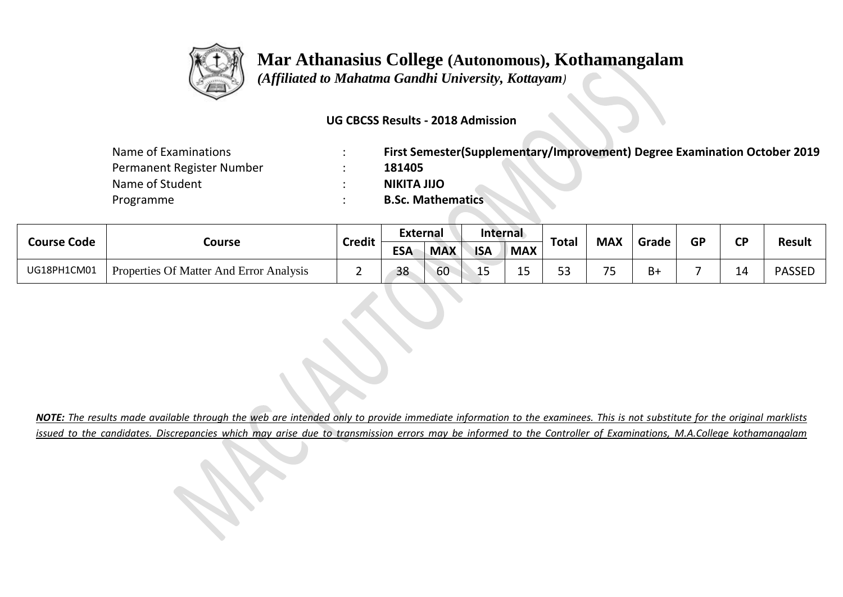

 *(Affiliated to Mahatma Gandhi University, Kottayam)*

#### **UG CBCSS Results - 2018 Admission**

| Name of Examinations      | First Semester(Supplementary/Improvement) Degree Examination October 2019 |
|---------------------------|---------------------------------------------------------------------------|
| Permanent Register Number | 181405                                                                    |
| Name of Student           | <b>NIKITA JIJO</b>                                                        |
| Programme                 | <b>B.Sc. Mathematics</b>                                                  |

| <b>Course Code</b> |                                         | <b>Credit</b> | External   |            | Internal   |             |              | <b>MAX</b>               |       | <b>GP</b> | σD |               |
|--------------------|-----------------------------------------|---------------|------------|------------|------------|-------------|--------------|--------------------------|-------|-----------|----|---------------|
|                    | Course                                  |               | <b>ESA</b> | <b>MAX</b> | <b>ISA</b> | <b>MAX</b>  | <b>Total</b> |                          | Grade |           |    | <b>Result</b> |
| UG18PH1CM01        | Properties Of Matter And Error Analysis | -             | 38         | 60         | LΟ         | $\sim$<br>ᅩ | 52<br>ں ر    | $\overline{\phantom{a}}$ | B+    |           | -- | <b>PASSED</b> |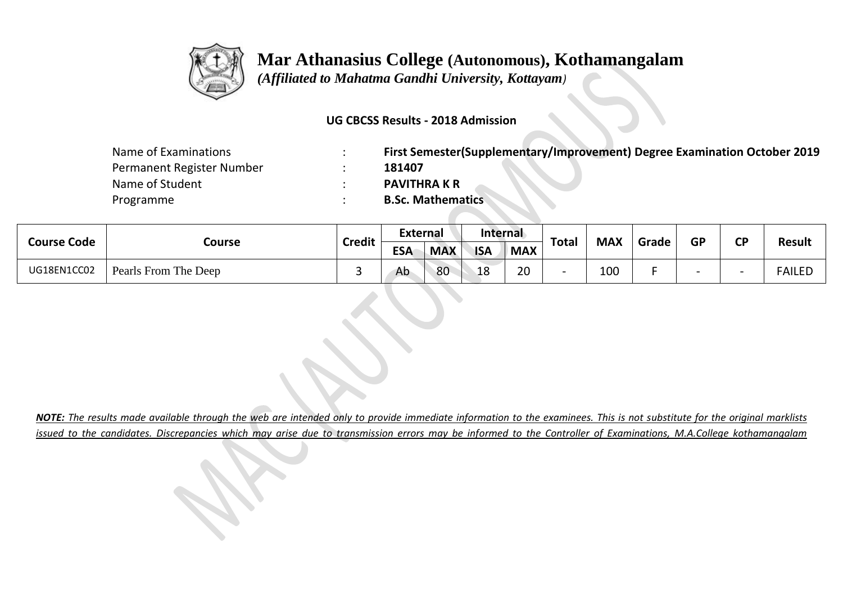

 *(Affiliated to Mahatma Gandhi University, Kottayam)*

#### **UG CBCSS Results - 2018 Admission**

| Name of Examinations      | First Semester(Supplementary/Improvement) Degree Examination October 2019 |
|---------------------------|---------------------------------------------------------------------------|
| Permanent Register Number | 181407                                                                    |
| Name of Student           | <b>PAVITHRA K R</b>                                                       |
| Programme                 | <b>B.Sc. Mathematics</b>                                                  |

| <b>Course Code</b> | Course               | <b>Credit</b> | External   |            | Internal   |            | <b>Total</b> | <b>MAX</b> | Grade | <b>GP</b> | σD | <b>Result</b> |
|--------------------|----------------------|---------------|------------|------------|------------|------------|--------------|------------|-------|-----------|----|---------------|
|                    |                      |               | <b>ESA</b> | <b>MAX</b> | <b>ISA</b> | <b>MAX</b> |              |            |       |           |    |               |
| UG18EN1CC02        | Pearls From The Deep |               | Ab         | 80         | 18         | 20         |              | 100        |       |           |    | <b>FAILED</b> |